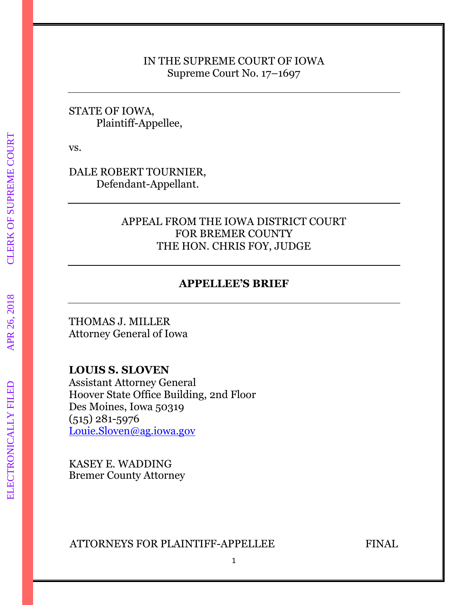#### IN THE SUPREME COURT OF IOWA Supreme Court No. 17–1697

## STATE OF IOWA, Plaintiff-Appellee,

vs.

DALE ROBERT TOURNIER, Defendant-Appellant.

## APPEAL FROM THE IOWA DISTRICT COURT FOR BREMER COUNTY THE HON. CHRIS FOY, JUDGE

## **APPELLEE'S BRIEF**

THOMAS J. MILLER Attorney General of Iowa

## **LOUIS S. SLOVEN**

Assistant Attorney General Hoover State Office Building, 2nd Floor Des Moines, Iowa 50319 (515) 281-5976 [Louie.Sloven@ag.iowa.gov](mailto:Louie.Sloven@ag.iowa.gov)

KASEY E. WADDING Bremer County Attorney

ATTORNEYS FOR PLAINTIFF-APPELLEE FINAL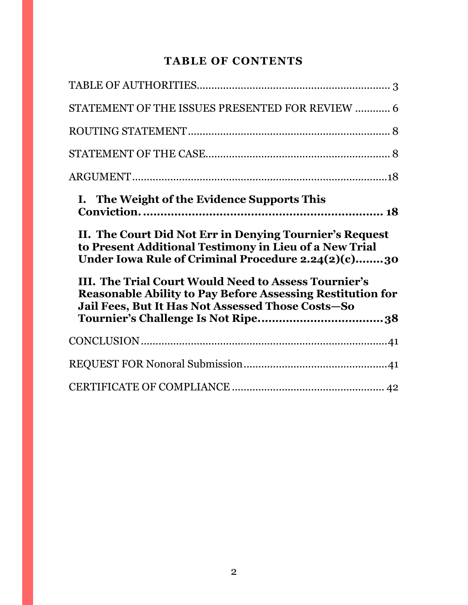# **TABLE OF CONTENTS**

| STATEMENT OF THE ISSUES PRESENTED FOR REVIEW  6                                                                                                                                                                                                                                                                                                           |  |
|-----------------------------------------------------------------------------------------------------------------------------------------------------------------------------------------------------------------------------------------------------------------------------------------------------------------------------------------------------------|--|
|                                                                                                                                                                                                                                                                                                                                                           |  |
|                                                                                                                                                                                                                                                                                                                                                           |  |
|                                                                                                                                                                                                                                                                                                                                                           |  |
| I. The Weight of the Evidence Supports This                                                                                                                                                                                                                                                                                                               |  |
|                                                                                                                                                                                                                                                                                                                                                           |  |
| II. The Court Did Not Err in Denying Tournier's Request<br>to Present Additional Testimony in Lieu of a New Trial<br>Under Iowa Rule of Criminal Procedure 2.24(2)(c)30<br>III. The Trial Court Would Need to Assess Tournier's<br><b>Reasonable Ability to Pay Before Assessing Restitution for</b><br>Jail Fees, But It Has Not Assessed Those Costs-So |  |
|                                                                                                                                                                                                                                                                                                                                                           |  |
|                                                                                                                                                                                                                                                                                                                                                           |  |
|                                                                                                                                                                                                                                                                                                                                                           |  |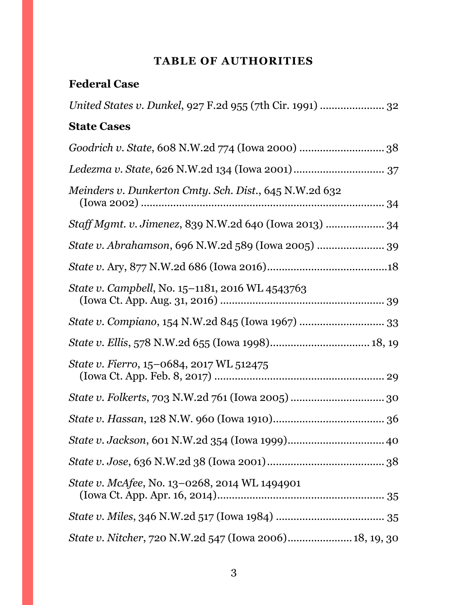# **TABLE OF AUTHORITIES**

# <span id="page-2-0"></span>**Federal Case**

| United States v. Dunkel, 927 F.2d 955 (7th Cir. 1991)  32 |
|-----------------------------------------------------------|
| <b>State Cases</b>                                        |
|                                                           |
|                                                           |
| Meinders v. Dunkerton Cmty. Sch. Dist., 645 N.W.2d 632    |
| Staff Mgmt. v. Jimenez, 839 N.W.2d 640 (Iowa 2013)  34    |
| State v. Abrahamson, 696 N.W.2d 589 (Iowa 2005)  39       |
|                                                           |
| State v. Campbell, No. 15-1181, 2016 WL 4543763           |
|                                                           |
|                                                           |
| State v. Fierro, 15-0684, 2017 WL 512475                  |
|                                                           |
|                                                           |
|                                                           |
|                                                           |
| State v. McAfee, No. 13-0268, 2014 WL 1494901             |
|                                                           |
| State v. Nitcher, 720 N.W.2d 547 (Iowa 2006) 18, 19, 30   |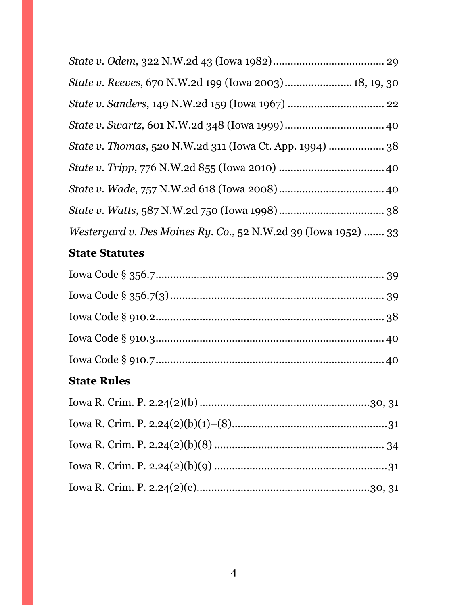| State v. Reeves, 670 N.W.2d 199 (Iowa 2003) 18, 19, 30         |  |
|----------------------------------------------------------------|--|
|                                                                |  |
|                                                                |  |
| State v. Thomas, 520 N.W.2d 311 (Iowa Ct. App. 1994)  38       |  |
|                                                                |  |
|                                                                |  |
|                                                                |  |
| Westergard v. Des Moines Ry. Co., 52 N.W.2d 39 (Iowa 1952)  33 |  |

# **State Statutes**

# **State Rules**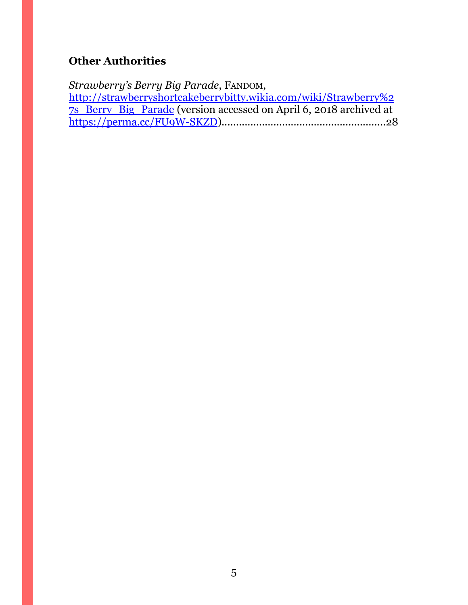# **Other Authorities**

*Strawberry's Berry Big Parade*, FANDOM, [http://strawberryshortcakeberrybitty.wikia.com/wiki/Strawberry%2](http://strawberryshortcakeberrybitty.wikia.com/wiki/Strawberry%27s_Berry_Big_Parade) [7s\\_Berry\\_Big\\_Parade](http://strawberryshortcakeberrybitty.wikia.com/wiki/Strawberry%27s_Berry_Big_Parade) (version accessed on April 6, 2018 archived at [https://perma.cc/FU9W-SKZD\)](https://perma.cc/FU9W-SKZD).........................................................28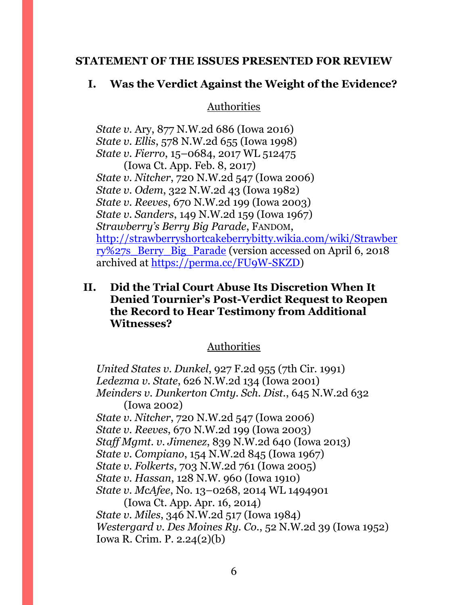#### <span id="page-5-0"></span>**STATEMENT OF THE ISSUES PRESENTED FOR REVIEW**

#### **I. Was the Verdict Against the Weight of the Evidence?**

Authorities

*State v.* Ary, 877 N.W.2d 686 (Iowa 2016) *State v. Ellis*, 578 N.W.2d 655 (Iowa 1998) *State v. Fierro*, 15–0684, 2017 WL 512475 (Iowa Ct. App. Feb. 8, 2017) *State v. Nitcher*, 720 N.W.2d 547 (Iowa 2006) *State v. Odem*, 322 N.W.2d 43 (Iowa 1982) *State v. Reeves*, 670 N.W.2d 199 (Iowa 2003) *State v. Sanders*, 149 N.W.2d 159 (Iowa 1967) *Strawberry's Berry Big Parade*, FANDOM, [http://strawberryshortcakeberrybitty.wikia.com/wiki/Strawber](http://strawberryshortcakeberrybitty.wikia.com/wiki/Strawberry%27s_Berry_Big_Parade) [ry%27s\\_Berry\\_Big\\_Parade](http://strawberryshortcakeberrybitty.wikia.com/wiki/Strawberry%27s_Berry_Big_Parade) (version accessed on April 6, 2018 archived at [https://perma.cc/FU9W-SKZD\)](https://perma.cc/FU9W-SKZD)

## **II. Did the Trial Court Abuse Its Discretion When It Denied Tournier's Post-Verdict Request to Reopen the Record to Hear Testimony from Additional Witnesses?**

## Authorities

*United States v. Dunkel*, 927 F.2d 955 (7th Cir. 1991) *Ledezma v. State*, 626 N.W.2d 134 (Iowa 2001) *Meinders v. Dunkerton Cmty. Sch. Dist.*, 645 N.W.2d 632 (Iowa 2002) *State v. Nitcher*, 720 N.W.2d 547 (Iowa 2006) *State v. Reeves*, 670 N.W.2d 199 (Iowa 2003) *Staff Mgmt. v. Jimenez*, 839 N.W.2d 640 (Iowa 2013) *State v. Compiano*, 154 N.W.2d 845 (Iowa 1967) *State v. Folkerts*, 703 N.W.2d 761 (Iowa 2005) *State v. Hassan*, 128 N.W. 960 (Iowa 1910) *State v. McAfee*, No. 13–0268, 2014 WL 1494901 (Iowa Ct. App. Apr. 16, 2014) *State v. Miles*, 346 N.W.2d 517 (Iowa 1984) *Westergard v. Des Moines Ry. Co.*, 52 N.W.2d 39 (Iowa 1952) Iowa R. Crim. P. 2.24(2)(b)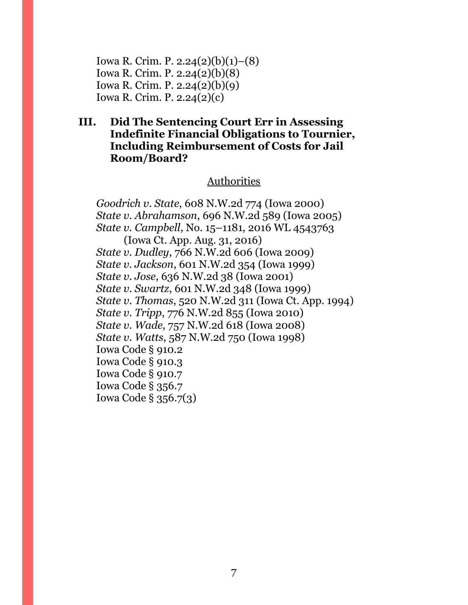Iowa R. Crim. P. 2.24(2)(b)(1)–(8) Iowa R. Crim. P. 2.24(2)(b)(8) Iowa R. Crim. P. 2.24(2)(b)(9) Iowa R. Crim. P. 2.24(2)(c)

## **III. Did The Sentencing Court Err in Assessing Indefinite Financial Obligations to Tournier, Including Reimbursement of Costs for Jail Room/Board?**

#### Authorities

*Goodrich v. State*, 608 N.W.2d 774 (Iowa 2000) *State v. Abrahamson*, 696 N.W.2d 589 (Iowa 2005) *State v. Campbell*, No. 15–1181, 2016 WL 4543763 (Iowa Ct. App. Aug. 31, 2016) *State v. Dudley*, 766 N.W.2d 606 (Iowa 2009) *State v. Jackson*, 601 N.W.2d 354 (Iowa 1999) *State v. Jose*, 636 N.W.2d 38 (Iowa 2001) *State v. Swartz*, 601 N.W.2d 348 (Iowa 1999) *State v. Thomas*, 520 N.W.2d 311 (Iowa Ct. App. 1994) *State v. Tripp*, 776 N.W.2d 855 (Iowa 2010) *State v. Wade*, 757 N.W.2d 618 (Iowa 2008) *State v. Watts*, 587 N.W.2d 750 (Iowa 1998) Iowa Code § 910.2 Iowa Code § 910.3 Iowa Code § 910.7 Iowa Code § 356.7 Iowa Code § 356.7(3)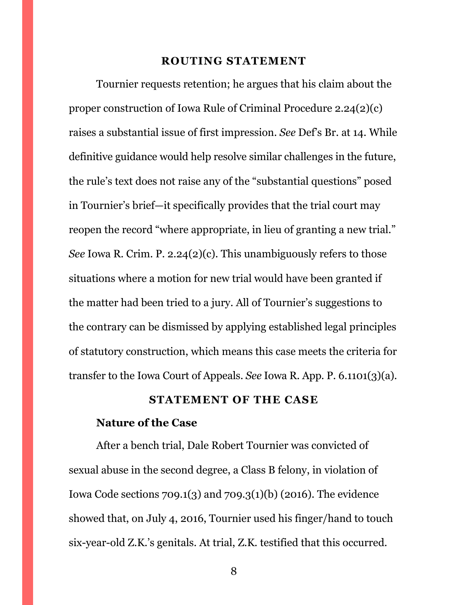#### **ROUTING STATEMENT**

<span id="page-7-0"></span>Tournier requests retention; he argues that his claim about the proper construction of Iowa Rule of Criminal Procedure 2.24(2)(c) raises a substantial issue of first impression. *See* Def's Br. at 14. While definitive guidance would help resolve similar challenges in the future, the rule's text does not raise any of the "substantial questions" posed in Tournier's brief—it specifically provides that the trial court may reopen the record "where appropriate, in lieu of granting a new trial." *See* Iowa R. Crim. P. 2.24(2)(c). This unambiguously refers to those situations where a motion for new trial would have been granted if the matter had been tried to a jury. All of Tournier's suggestions to the contrary can be dismissed by applying established legal principles of statutory construction, which means this case meets the criteria for transfer to the Iowa Court of Appeals. *See* Iowa R. App. P. 6.1101(3)(a).

#### **STATEMENT OF THE CASE**

#### <span id="page-7-1"></span>**Nature of the Case**

After a bench trial, Dale Robert Tournier was convicted of sexual abuse in the second degree, a Class B felony, in violation of Iowa Code sections 709.1(3) and 709.3(1)(b) (2016). The evidence showed that, on July 4, 2016, Tournier used his finger/hand to touch six-year-old Z.K.'s genitals. At trial, Z.K. testified that this occurred.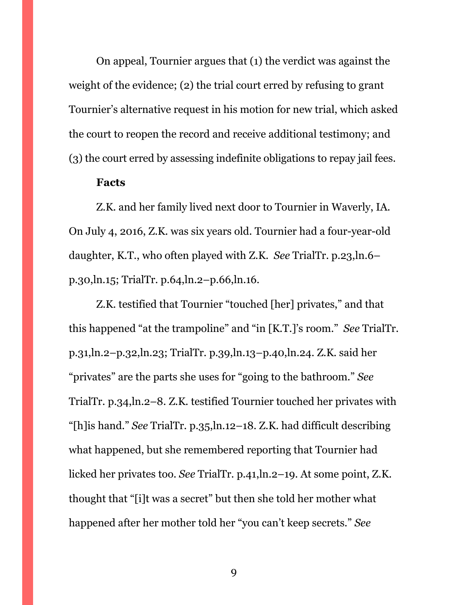On appeal, Tournier argues that (1) the verdict was against the weight of the evidence; (2) the trial court erred by refusing to grant Tournier's alternative request in his motion for new trial, which asked the court to reopen the record and receive additional testimony; and (3) the court erred by assessing indefinite obligations to repay jail fees.

#### **Facts**

Z.K. and her family lived next door to Tournier in Waverly, IA. On July 4, 2016, Z.K. was six years old. Tournier had a four-year-old daughter, K.T., who often played with Z.K. *See* TrialTr. p.23,ln.6– p.30,ln.15; TrialTr. p.64,ln.2–p.66,ln.16.

Z.K. testified that Tournier "touched [her] privates," and that this happened "at the trampoline" and "in [K.T.]'s room." *See* TrialTr. p.31,ln.2–p.32,ln.23; TrialTr. p.39,ln.13–p.40,ln.24. Z.K. said her "privates" are the parts she uses for "going to the bathroom." *See*  TrialTr. p.34,ln.2–8. Z.K. testified Tournier touched her privates with "[h]is hand." *See* TrialTr. p.35,ln.12–18. Z.K. had difficult describing what happened, but she remembered reporting that Tournier had licked her privates too. *See* TrialTr. p.41,ln.2–19. At some point, Z.K. thought that "[i]t was a secret" but then she told her mother what happened after her mother told her "you can't keep secrets." *See*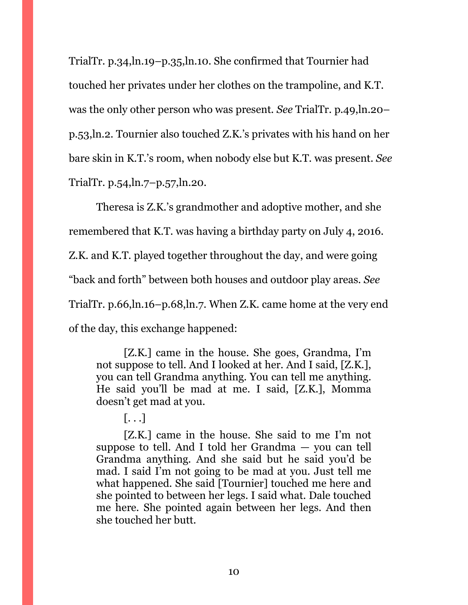TrialTr. p.34,ln.19–p.35,ln.10. She confirmed that Tournier had touched her privates under her clothes on the trampoline, and K.T. was the only other person who was present. *See* TrialTr. p.49,ln.20– p.53,ln.2. Tournier also touched Z.K.'s privates with his hand on her bare skin in K.T.'s room, when nobody else but K.T. was present. *See*  TrialTr. p.54,ln.7–p.57,ln.20.

Theresa is Z.K.'s grandmother and adoptive mother, and she remembered that K.T. was having a birthday party on July 4, 2016. Z.K. and K.T. played together throughout the day, and were going "back and forth" between both houses and outdoor play areas. *See*  TrialTr. p.66,ln.16–p.68,ln.7. When Z.K. came home at the very end of the day, this exchange happened:

[Z.K.] came in the house. She goes, Grandma, I'm not suppose to tell. And I looked at her. And I said, [Z.K.], you can tell Grandma anything. You can tell me anything. He said you'll be mad at me. I said, [Z.K.], Momma doesn't get mad at you.

[Z.K.] came in the house. She said to me I'm not suppose to tell. And I told her Grandma — you can tell Grandma anything. And she said but he said you'd be mad. I said I'm not going to be mad at you. Just tell me what happened. She said [Tournier] touched me here and she pointed to between her legs. I said what. Dale touched me here. She pointed again between her legs. And then she touched her butt.

 $\left[ \ldots \right]$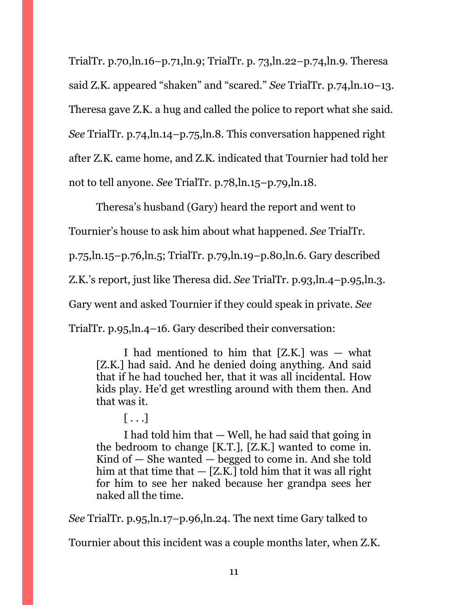TrialTr. p.70,ln.16–p.71,ln.9; TrialTr. p. 73,ln.22–p.74,ln.9. Theresa said Z.K. appeared "shaken" and "scared." *See* TrialTr. p.74,ln.10–13. Theresa gave Z.K. a hug and called the police to report what she said. *See* TrialTr. p.74,ln.14–p.75,ln.8. This conversation happened right after Z.K. came home, and Z.K. indicated that Tournier had told her not to tell anyone. *See* TrialTr. p.78,ln.15–p.79,ln.18.

Theresa's husband (Gary) heard the report and went to Tournier's house to ask him about what happened. *See* TrialTr. p.75,ln.15–p.76,ln.5; TrialTr. p.79,ln.19–p.80,ln.6. Gary described Z.K.'s report, just like Theresa did. *See* TrialTr. p.93,ln.4–p.95,ln.3. Gary went and asked Tournier if they could speak in private. *See*  TrialTr. p.95,ln.4–16. Gary described their conversation:

I had mentioned to him that  $[Z,K]$  was  $-$  what [Z.K.] had said. And he denied doing anything. And said that if he had touched her, that it was all incidental. How kids play. He'd get wrestling around with them then. And that was it.

 $\lceil \ldots \rceil$ 

I had told him that — Well, he had said that going in the bedroom to change [K.T.], [Z.K.] wanted to come in. Kind of  $-$  She wanted  $-$  begged to come in. And she told him at that time that  $-$  [Z.K.] told him that it was all right for him to see her naked because her grandpa sees her naked all the time.

*See* TrialTr. p.95,ln.17–p.96,ln.24. The next time Gary talked to

Tournier about this incident was a couple months later, when Z.K.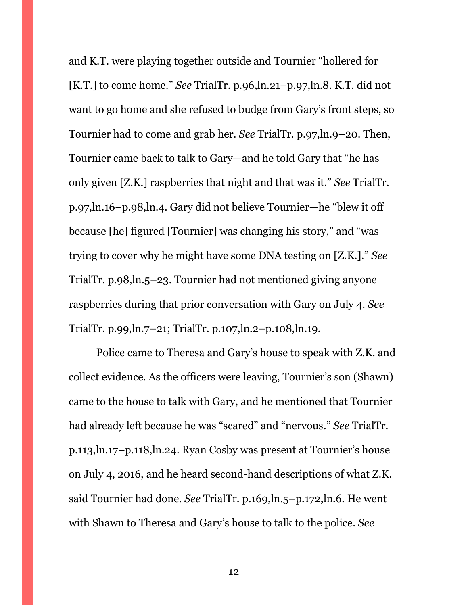and K.T. were playing together outside and Tournier "hollered for [K.T.] to come home." *See* TrialTr. p.96,ln.21–p.97,ln.8. K.T. did not want to go home and she refused to budge from Gary's front steps, so Tournier had to come and grab her. *See* TrialTr. p.97,ln.9–20. Then, Tournier came back to talk to Gary—and he told Gary that "he has only given [Z.K.] raspberries that night and that was it." *See* TrialTr. p.97,ln.16–p.98,ln.4. Gary did not believe Tournier—he "blew it off because [he] figured [Tournier] was changing his story," and "was trying to cover why he might have some DNA testing on [Z.K.]." *See*  TrialTr. p.98,ln.5–23. Tournier had not mentioned giving anyone raspberries during that prior conversation with Gary on July 4. *See*  TrialTr. p.99,ln.7–21; TrialTr. p.107,ln.2–p.108,ln.19.

Police came to Theresa and Gary's house to speak with Z.K. and collect evidence. As the officers were leaving, Tournier's son (Shawn) came to the house to talk with Gary, and he mentioned that Tournier had already left because he was "scared" and "nervous." *See* TrialTr. p.113,ln.17–p.118,ln.24. Ryan Cosby was present at Tournier's house on July 4, 2016, and he heard second-hand descriptions of what Z.K. said Tournier had done. *See* TrialTr. p.169,ln.5–p.172,ln.6. He went with Shawn to Theresa and Gary's house to talk to the police. *See*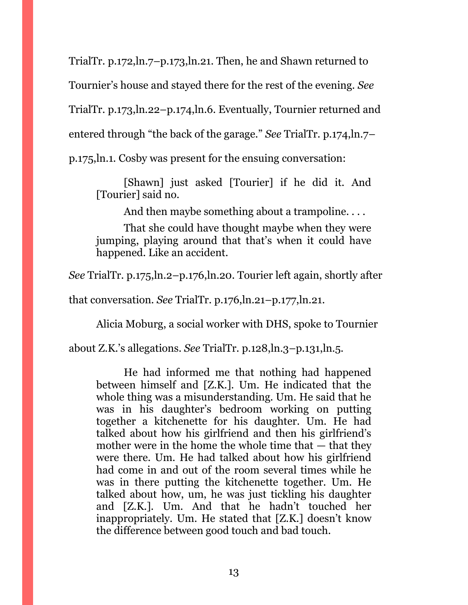TrialTr. p.172,ln.7–p.173,ln.21. Then, he and Shawn returned to Tournier's house and stayed there for the rest of the evening. *See*  TrialTr. p.173,ln.22–p.174,ln.6. Eventually, Tournier returned and entered through "the back of the garage." *See* TrialTr. p.174,ln.7– p.175,ln.1. Cosby was present for the ensuing conversation:

[Shawn] just asked [Tourier] if he did it. And [Tourier] said no.

And then maybe something about a trampoline. . . .

That she could have thought maybe when they were jumping, playing around that that's when it could have happened. Like an accident.

*See* TrialTr. p.175,ln.2–p.176,ln.20. Tourier left again, shortly after

that conversation. *See* TrialTr. p.176,ln.21–p.177,ln.21.

Alicia Moburg, a social worker with DHS, spoke to Tournier

about Z.K.'s allegations. *See* TrialTr. p.128,ln.3–p.131,ln.5.

He had informed me that nothing had happened between himself and [Z.K.]. Um. He indicated that the whole thing was a misunderstanding. Um. He said that he was in his daughter's bedroom working on putting together a kitchenette for his daughter. Um. He had talked about how his girlfriend and then his girlfriend's mother were in the home the whole time that  $-$  that they were there. Um. He had talked about how his girlfriend had come in and out of the room several times while he was in there putting the kitchenette together. Um. He talked about how, um, he was just tickling his daughter and [Z.K.]. Um. And that he hadn't touched her inappropriately. Um. He stated that [Z.K.] doesn't know the difference between good touch and bad touch.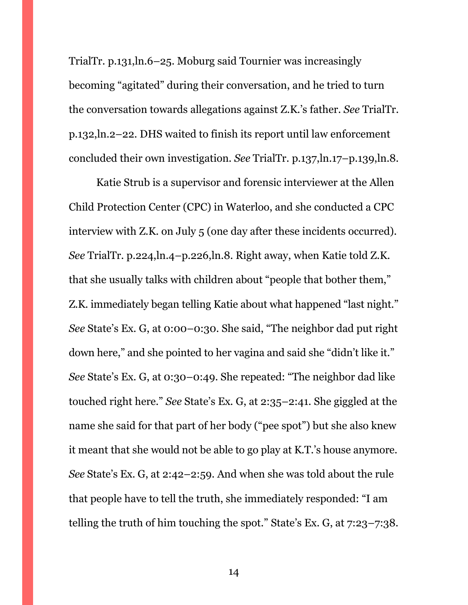TrialTr. p.131,ln.6–25. Moburg said Tournier was increasingly becoming "agitated" during their conversation, and he tried to turn the conversation towards allegations against Z.K.'s father. *See* TrialTr. p.132,ln.2–22. DHS waited to finish its report until law enforcement concluded their own investigation. *See* TrialTr. p.137,ln.17–p.139,ln.8.

Katie Strub is a supervisor and forensic interviewer at the Allen Child Protection Center (CPC) in Waterloo, and she conducted a CPC interview with Z.K. on July 5 (one day after these incidents occurred). *See* TrialTr. p.224,ln.4–p.226,ln.8. Right away, when Katie told Z.K. that she usually talks with children about "people that bother them," Z.K. immediately began telling Katie about what happened "last night." *See* State's Ex. G, at 0:00–0:30. She said, "The neighbor dad put right down here," and she pointed to her vagina and said she "didn't like it." *See* State's Ex. G, at 0:30–0:49. She repeated: "The neighbor dad like touched right here." *See* State's Ex. G, at 2:35–2:41. She giggled at the name she said for that part of her body ("pee spot") but she also knew it meant that she would not be able to go play at K.T.'s house anymore. *See* State's Ex. G, at 2:42–2:59. And when she was told about the rule that people have to tell the truth, she immediately responded: "I am telling the truth of him touching the spot." State's Ex. G, at 7:23–7:38.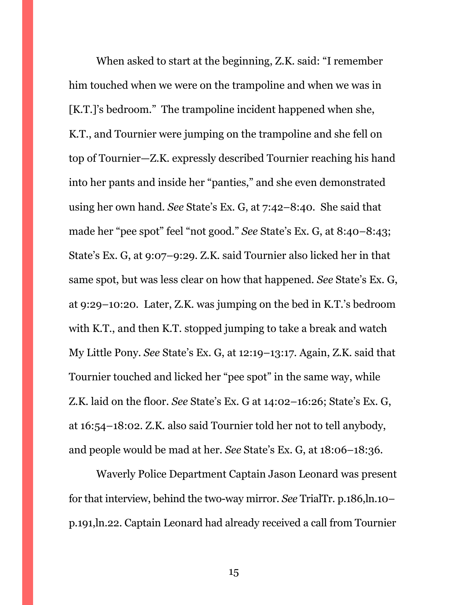When asked to start at the beginning, Z.K. said: "I remember him touched when we were on the trampoline and when we was in [K.T.]'s bedroom." The trampoline incident happened when she, K.T., and Tournier were jumping on the trampoline and she fell on top of Tournier—Z.K. expressly described Tournier reaching his hand into her pants and inside her "panties," and she even demonstrated using her own hand. *See* State's Ex. G, at 7:42–8:40. She said that made her "pee spot" feel "not good." *See* State's Ex. G, at 8:40–8:43; State's Ex. G, at 9:07–9:29. Z.K. said Tournier also licked her in that same spot, but was less clear on how that happened. *See* State's Ex. G, at 9:29–10:20. Later, Z.K. was jumping on the bed in K.T.'s bedroom with K.T., and then K.T. stopped jumping to take a break and watch My Little Pony. *See* State's Ex. G, at 12:19–13:17. Again, Z.K. said that Tournier touched and licked her "pee spot" in the same way, while Z.K. laid on the floor. *See* State's Ex. G at 14:02–16:26; State's Ex. G, at 16:54–18:02. Z.K. also said Tournier told her not to tell anybody, and people would be mad at her. *See* State's Ex. G, at 18:06–18:36.

Waverly Police Department Captain Jason Leonard was present for that interview, behind the two-way mirror. *See* TrialTr. p.186,ln.10– p.191,ln.22. Captain Leonard had already received a call from Tournier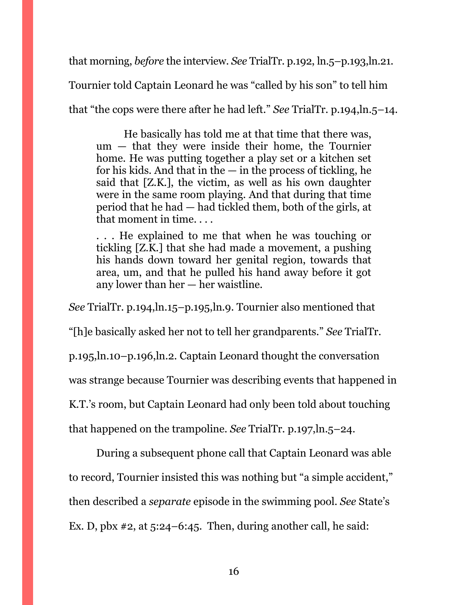that morning, *before* the interview. *See* TrialTr. p.192, ln.5–p.193,ln.21.

Tournier told Captain Leonard he was "called by his son" to tell him

that "the cops were there after he had left." *See* TrialTr. p.194,ln.5–14.

He basically has told me at that time that there was, um — that they were inside their home, the Tournier home. He was putting together a play set or a kitchen set for his kids. And that in the  $-$  in the process of tickling, he said that [Z.K.], the victim, as well as his own daughter were in the same room playing. And that during that time period that he had — had tickled them, both of the girls, at that moment in time. . . .

. . . He explained to me that when he was touching or tickling [Z.K.] that she had made a movement, a pushing his hands down toward her genital region, towards that area, um, and that he pulled his hand away before it got any lower than her — her waistline.

*See* TrialTr. p.194,ln.15–p.195,ln.9. Tournier also mentioned that

"[h]e basically asked her not to tell her grandparents." *See* TrialTr.

p.195,ln.10–p.196,ln.2. Captain Leonard thought the conversation

was strange because Tournier was describing events that happened in

K.T.'s room, but Captain Leonard had only been told about touching

that happened on the trampoline. *See* TrialTr. p.197,ln.5–24.

During a subsequent phone call that Captain Leonard was able to record, Tournier insisted this was nothing but "a simple accident," then described a *separate* episode in the swimming pool. *See* State's Ex. D, pbx  $\#2$ , at  $5:24-6:45$ . Then, during another call, he said: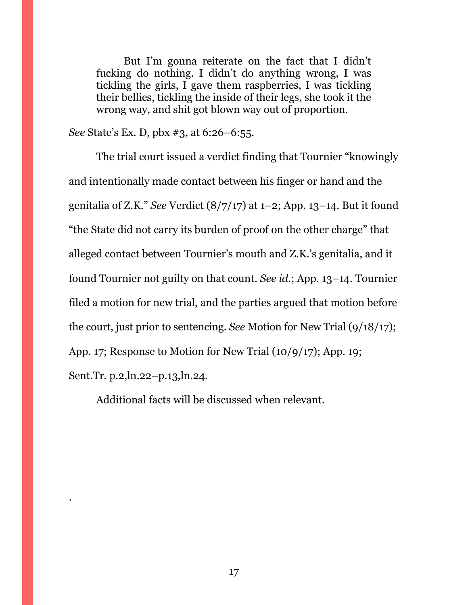But I'm gonna reiterate on the fact that I didn't fucking do nothing. I didn't do anything wrong, I was tickling the girls, I gave them raspberries, I was tickling their bellies, tickling the inside of their legs, she took it the wrong way, and shit got blown way out of proportion.

*See* State's Ex. D, pbx #3, at 6:26–6:55.

The trial court issued a verdict finding that Tournier "knowingly and intentionally made contact between his finger or hand and the genitalia of Z.K." *See* Verdict (8/7/17) at 1–2; App. 13–14. But it found "the State did not carry its burden of proof on the other charge" that alleged contact between Tournier's mouth and Z.K.'s genitalia, and it found Tournier not guilty on that count. *See id.*; App. 13–14. Tournier filed a motion for new trial, and the parties argued that motion before the court, just prior to sentencing. *See* Motion for New Trial (9/18/17); App. 17; Response to Motion for New Trial (10/9/17); App. 19; Sent.Tr. p.2,ln.22–p.13,ln.24.

Additional facts will be discussed when relevant.

.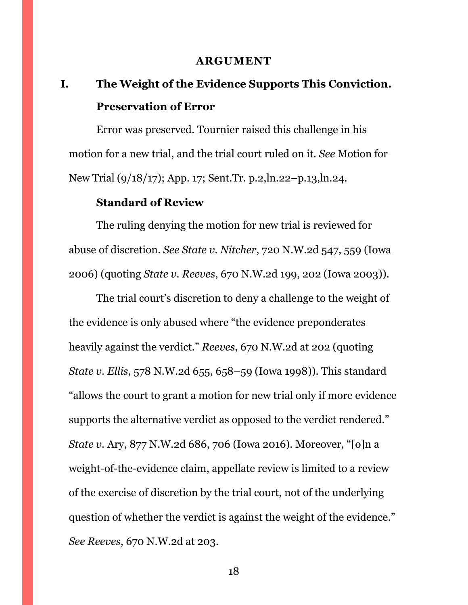#### **ARGUMENT**

# <span id="page-17-1"></span><span id="page-17-0"></span>**I. The Weight of the Evidence Supports This Conviction. Preservation of Error**

Error was preserved. Tournier raised this challenge in his motion for a new trial, and the trial court ruled on it. *See* Motion for New Trial (9/18/17); App. 17; Sent.Tr. p.2,ln.22–p.13,ln.24.

## **Standard of Review**

The ruling denying the motion for new trial is reviewed for abuse of discretion. *See State v. Nitcher*, 720 N.W.2d 547, 559 (Iowa 2006) (quoting *State v. Reeves*, 670 N.W.2d 199, 202 (Iowa 2003)).

The trial court's discretion to deny a challenge to the weight of the evidence is only abused where "the evidence preponderates heavily against the verdict." *Reeves*, 670 N.W.2d at 202 (quoting *State v. Ellis*, 578 N.W.2d 655, 658–59 (Iowa 1998)). This standard "allows the court to grant a motion for new trial only if more evidence supports the alternative verdict as opposed to the verdict rendered." *State v.* Ary, 877 N.W.2d 686, 706 (Iowa 2016). Moreover, "[o]n a weight-of-the-evidence claim, appellate review is limited to a review of the exercise of discretion by the trial court, not of the underlying question of whether the verdict is against the weight of the evidence." *See Reeves*, 670 N.W.2d at 203.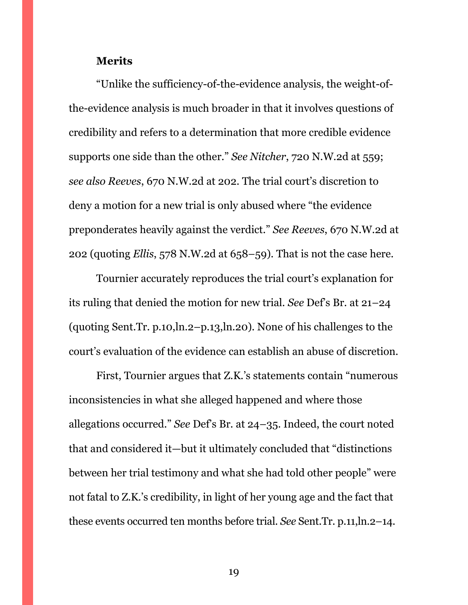## **Merits**

"Unlike the sufficiency-of-the-evidence analysis, the weight-ofthe-evidence analysis is much broader in that it involves questions of credibility and refers to a determination that more credible evidence supports one side than the other." *See Nitcher*, 720 N.W.2d at 559; *see also Reeves*, 670 N.W.2d at 202. The trial court's discretion to deny a motion for a new trial is only abused where "the evidence preponderates heavily against the verdict." *See Reeves*, 670 N.W.2d at 202 (quoting *Ellis*, 578 N.W.2d at 658–59). That is not the case here.

Tournier accurately reproduces the trial court's explanation for its ruling that denied the motion for new trial. *See* Def's Br. at 21–24 (quoting Sent.Tr. p.10,ln.2–p.13,ln.20). None of his challenges to the court's evaluation of the evidence can establish an abuse of discretion.

First, Tournier argues that Z.K.'s statements contain "numerous inconsistencies in what she alleged happened and where those allegations occurred." *See* Def's Br. at 24–35. Indeed, the court noted that and considered it—but it ultimately concluded that "distinctions between her trial testimony and what she had told other people" were not fatal to Z.K.'s credibility, in light of her young age and the fact that these events occurred ten months before trial. *See* Sent.Tr. p.11,ln.2–14.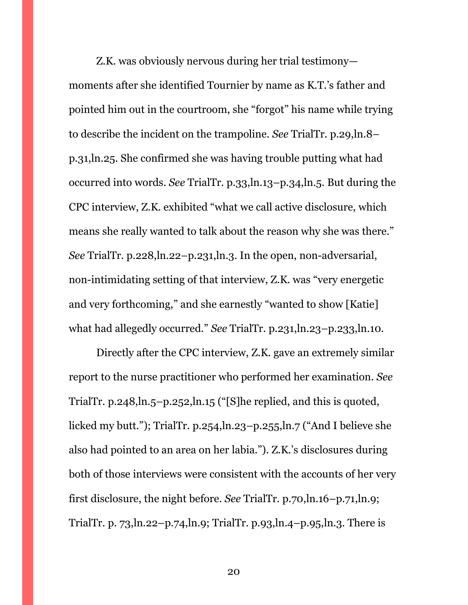Z.K. was obviously nervous during her trial testimony moments after she identified Tournier by name as K.T.'s father and pointed him out in the courtroom, she "forgot" his name while trying to describe the incident on the trampoline. *See* TrialTr. p.29,ln.8– p.31,ln.25. She confirmed she was having trouble putting what had occurred into words. *See* TrialTr. p.33,ln.13–p.34,ln.5. But during the CPC interview, Z.K. exhibited "what we call active disclosure, which means she really wanted to talk about the reason why she was there." *See* TrialTr. p.228,ln.22–p.231,ln.3. In the open, non-adversarial, non-intimidating setting of that interview, Z.K. was "very energetic and very forthcoming," and she earnestly "wanted to show [Katie] what had allegedly occurred." *See* TrialTr. p.231,ln.23–p.233,ln.10.

Directly after the CPC interview, Z.K. gave an extremely similar report to the nurse practitioner who performed her examination. *See*  TrialTr. p.248,ln.5–p.252,ln.15 ("[S]he replied, and this is quoted, licked my butt."); TrialTr. p.254,ln.23–p.255,ln.7 ("And I believe she also had pointed to an area on her labia."). Z.K.'s disclosures during both of those interviews were consistent with the accounts of her very first disclosure, the night before. *See* TrialTr. p.70,ln.16–p.71,ln.9; TrialTr. p. 73,ln.22–p.74,ln.9; TrialTr. p.93,ln.4–p.95,ln.3. There is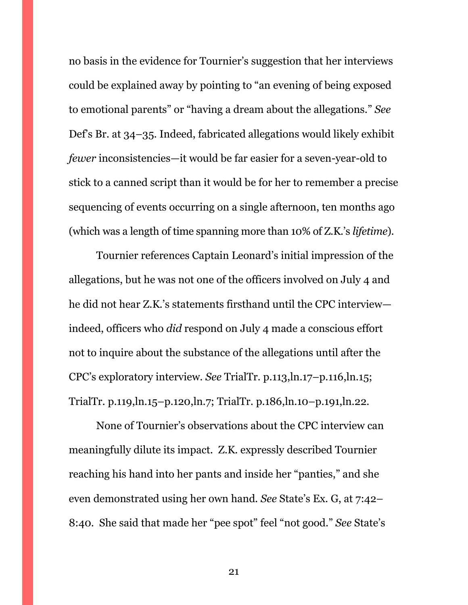no basis in the evidence for Tournier's suggestion that her interviews could be explained away by pointing to "an evening of being exposed to emotional parents" or "having a dream about the allegations." *See*  Def's Br. at 34–35. Indeed, fabricated allegations would likely exhibit *fewer* inconsistencies—it would be far easier for a seven-year-old to stick to a canned script than it would be for her to remember a precise sequencing of events occurring on a single afternoon, ten months ago (which was a length of time spanning more than 10% of Z.K.'s *lifetime*).

Tournier references Captain Leonard's initial impression of the allegations, but he was not one of the officers involved on July 4 and he did not hear Z.K.'s statements firsthand until the CPC interview indeed, officers who *did* respond on July 4 made a conscious effort not to inquire about the substance of the allegations until after the CPC's exploratory interview. *See* TrialTr. p.113,ln.17–p.116,ln.15; TrialTr. p.119,ln.15–p.120,ln.7; TrialTr. p.186,ln.10–p.191,ln.22.

None of Tournier's observations about the CPC interview can meaningfully dilute its impact. Z.K. expressly described Tournier reaching his hand into her pants and inside her "panties," and she even demonstrated using her own hand. *See* State's Ex. G, at 7:42– 8:40. She said that made her "pee spot" feel "not good." *See* State's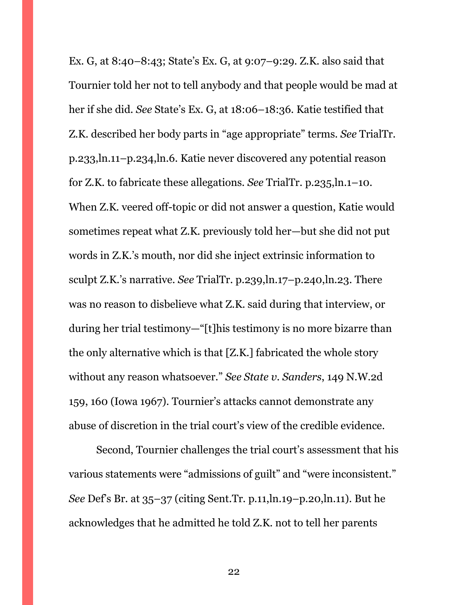Ex. G, at 8:40–8:43; State's Ex. G, at 9:07–9:29. Z.K. also said that Tournier told her not to tell anybody and that people would be mad at her if she did. *See* State's Ex. G, at 18:06–18:36. Katie testified that Z.K. described her body parts in "age appropriate" terms. *See* TrialTr. p.233,ln.11–p.234,ln.6. Katie never discovered any potential reason for Z.K. to fabricate these allegations. *See* TrialTr. p.235,ln.1–10. When Z.K. veered off-topic or did not answer a question, Katie would sometimes repeat what Z.K. previously told her—but she did not put words in Z.K.'s mouth, nor did she inject extrinsic information to sculpt Z.K.'s narrative. *See* TrialTr. p.239,ln.17–p.240,ln.23. There was no reason to disbelieve what Z.K. said during that interview, or during her trial testimony—"[t]his testimony is no more bizarre than the only alternative which is that [Z.K.] fabricated the whole story without any reason whatsoever." *See State v. Sanders*, 149 N.W.2d 159, 160 (Iowa 1967). Tournier's attacks cannot demonstrate any abuse of discretion in the trial court's view of the credible evidence.

Second, Tournier challenges the trial court's assessment that his various statements were "admissions of guilt" and "were inconsistent." *See* Def's Br. at 35–37 (citing Sent.Tr. p.11,ln.19–p.20,ln.11). But he acknowledges that he admitted he told Z.K. not to tell her parents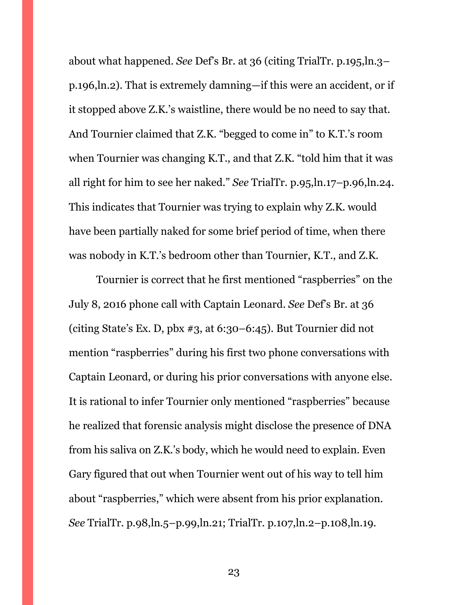about what happened. *See* Def's Br. at 36 (citing TrialTr. p.195,ln.3– p.196,ln.2). That is extremely damning—if this were an accident, or if it stopped above Z.K.'s waistline, there would be no need to say that. And Tournier claimed that Z.K. "begged to come in" to K.T.'s room when Tournier was changing K.T., and that Z.K. "told him that it was all right for him to see her naked." *See* TrialTr. p.95,ln.17–p.96,ln.24. This indicates that Tournier was trying to explain why Z.K. would have been partially naked for some brief period of time, when there was nobody in K.T.'s bedroom other than Tournier, K.T., and Z.K.

Tournier is correct that he first mentioned "raspberries" on the July 8, 2016 phone call with Captain Leonard. *See* Def's Br. at 36 (citing State's Ex. D, pbx #3, at 6:30–6:45). But Tournier did not mention "raspberries" during his first two phone conversations with Captain Leonard, or during his prior conversations with anyone else. It is rational to infer Tournier only mentioned "raspberries" because he realized that forensic analysis might disclose the presence of DNA from his saliva on Z.K.'s body, which he would need to explain. Even Gary figured that out when Tournier went out of his way to tell him about "raspberries," which were absent from his prior explanation. *See* TrialTr. p.98,ln.5–p.99,ln.21; TrialTr. p.107,ln.2–p.108,ln.19.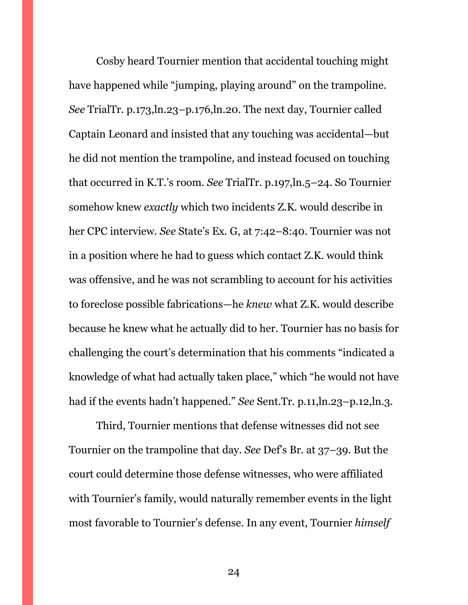Cosby heard Tournier mention that accidental touching might have happened while "jumping, playing around" on the trampoline. *See* TrialTr. p.173,ln.23–p.176,ln.20. The next day, Tournier called Captain Leonard and insisted that any touching was accidental—but he did not mention the trampoline, and instead focused on touching that occurred in K.T.'s room. *See* TrialTr. p.197,ln.5–24. So Tournier somehow knew *exactly* which two incidents Z.K. would describe in her CPC interview. *See* State's Ex. G, at 7:42–8:40. Tournier was not in a position where he had to guess which contact Z.K. would think was offensive, and he was not scrambling to account for his activities to foreclose possible fabrications—he *knew* what Z.K. would describe because he knew what he actually did to her. Tournier has no basis for challenging the court's determination that his comments "indicated a knowledge of what had actually taken place," which "he would not have had if the events hadn't happened." *See* Sent.Tr. p.11,ln.23–p.12,ln.3.

Third, Tournier mentions that defense witnesses did not see Tournier on the trampoline that day. *See* Def's Br. at 37–39. But the court could determine those defense witnesses, who were affiliated with Tournier's family, would naturally remember events in the light most favorable to Tournier's defense. In any event, Tournier *himself*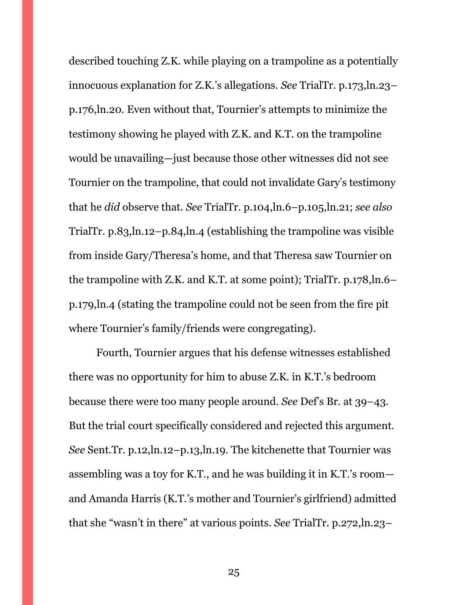described touching Z.K. while playing on a trampoline as a potentially innocuous explanation for Z.K.'s allegations. *See* TrialTr. p.173,ln.23– p.176,ln.20. Even without that, Tournier's attempts to minimize the testimony showing he played with Z.K. and K.T. on the trampoline would be unavailing—just because those other witnesses did not see Tournier on the trampoline, that could not invalidate Gary's testimony that he *did* observe that. *See* TrialTr. p.104,ln.6–p.105,ln.21; *see also*  TrialTr. p.83,ln.12–p.84,ln.4 (establishing the trampoline was visible from inside Gary/Theresa's home, and that Theresa saw Tournier on the trampoline with Z.K. and K.T. at some point); TrialTr. p.178,ln.6– p.179,ln.4 (stating the trampoline could not be seen from the fire pit where Tournier's family/friends were congregating).

Fourth, Tournier argues that his defense witnesses established there was no opportunity for him to abuse Z.K. in K.T.'s bedroom because there were too many people around. *See* Def's Br. at 39–43. But the trial court specifically considered and rejected this argument. *See* Sent.Tr. p.12,ln.12–p.13,ln.19. The kitchenette that Tournier was assembling was a toy for K.T., and he was building it in K.T.'s room and Amanda Harris (K.T.'s mother and Tournier's girlfriend) admitted that she "wasn't in there" at various points. *See* TrialTr. p.272,ln.23–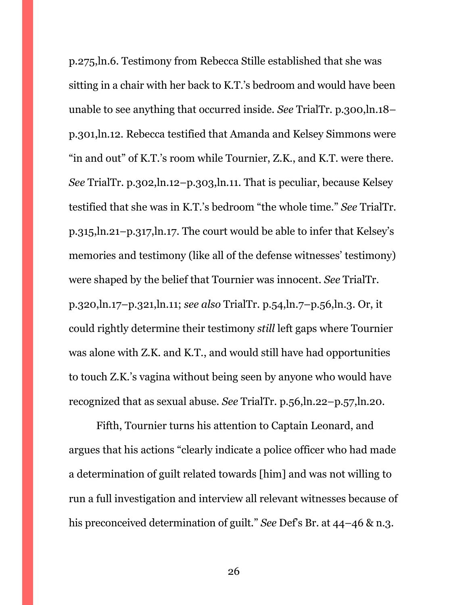p.275,ln.6. Testimony from Rebecca Stille established that she was sitting in a chair with her back to K.T.'s bedroom and would have been unable to see anything that occurred inside. *See* TrialTr. p.300,ln.18– p.301,ln.12. Rebecca testified that Amanda and Kelsey Simmons were "in and out" of K.T.'s room while Tournier, Z.K., and K.T. were there. *See* TrialTr. p.302,ln.12–p.303,ln.11. That is peculiar, because Kelsey testified that she was in K.T.'s bedroom "the whole time." *See* TrialTr. p.315,ln.21–p.317,ln.17. The court would be able to infer that Kelsey's memories and testimony (like all of the defense witnesses' testimony) were shaped by the belief that Tournier was innocent. *See* TrialTr. p.320,ln.17–p.321,ln.11; *see also* TrialTr. p.54,ln.7–p.56,ln.3. Or, it could rightly determine their testimony *still* left gaps where Tournier was alone with Z.K. and K.T., and would still have had opportunities to touch Z.K.'s vagina without being seen by anyone who would have recognized that as sexual abuse. *See* TrialTr. p.56,ln.22–p.57,ln.20.

Fifth, Tournier turns his attention to Captain Leonard, and argues that his actions "clearly indicate a police officer who had made a determination of guilt related towards [him] and was not willing to run a full investigation and interview all relevant witnesses because of his preconceived determination of guilt." *See* Def's Br. at 44–46 & n.3.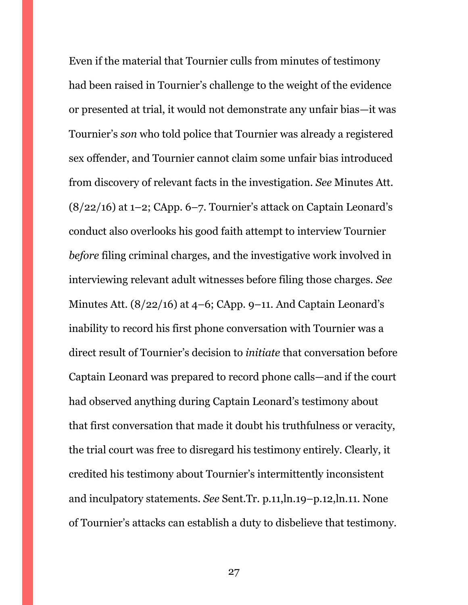Even if the material that Tournier culls from minutes of testimony had been raised in Tournier's challenge to the weight of the evidence or presented at trial, it would not demonstrate any unfair bias—it was Tournier's *son* who told police that Tournier was already a registered sex offender, and Tournier cannot claim some unfair bias introduced from discovery of relevant facts in the investigation. *See* Minutes Att.  $(8/22/16)$  at 1–2; CApp. 6–7. Tournier's attack on Captain Leonard's conduct also overlooks his good faith attempt to interview Tournier *before* filing criminal charges, and the investigative work involved in interviewing relevant adult witnesses before filing those charges. *See*  Minutes Att. (8/22/16) at 4–6; CApp. 9–11. And Captain Leonard's inability to record his first phone conversation with Tournier was a direct result of Tournier's decision to *initiate* that conversation before Captain Leonard was prepared to record phone calls—and if the court had observed anything during Captain Leonard's testimony about that first conversation that made it doubt his truthfulness or veracity, the trial court was free to disregard his testimony entirely. Clearly, it credited his testimony about Tournier's intermittently inconsistent and inculpatory statements. *See* Sent.Tr. p.11,ln.19–p.12,ln.11. None of Tournier's attacks can establish a duty to disbelieve that testimony.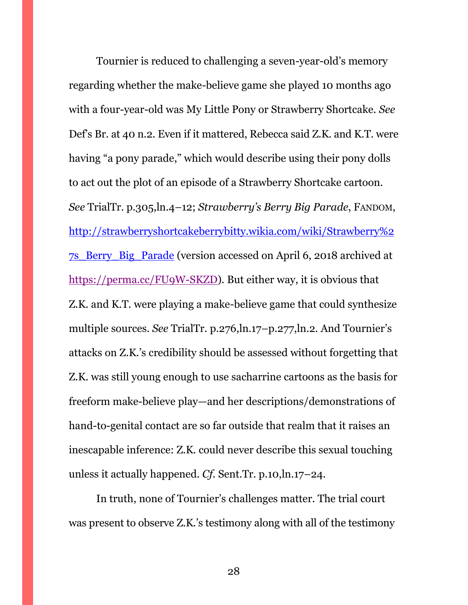Tournier is reduced to challenging a seven-year-old's memory regarding whether the make-believe game she played 10 months ago with a four-year-old was My Little Pony or Strawberry Shortcake. *See*  Def's Br. at 40 n.2. Even if it mattered, Rebecca said Z.K. and K.T. were having "a pony parade," which would describe using their pony dolls to act out the plot of an episode of a Strawberry Shortcake cartoon. *See* TrialTr. p.305,ln.4–12; *Strawberry's Berry Big Parade*, FANDOM, [http://strawberryshortcakeberrybitty.wikia.com/wiki/Strawberry%2](http://strawberryshortcakeberrybitty.wikia.com/wiki/Strawberry%27s_Berry_Big_Parade) [7s\\_Berry\\_Big\\_Parade](http://strawberryshortcakeberrybitty.wikia.com/wiki/Strawberry%27s_Berry_Big_Parade) (version accessed on April 6, 2018 archived at [https://perma.cc/FU9W-SKZD\)](https://perma.cc/FU9W-SKZD). But either way, it is obvious that Z.K. and K.T. were playing a make-believe game that could synthesize multiple sources. *See* TrialTr. p.276,ln.17–p.277,ln.2. And Tournier's attacks on Z.K.'s credibility should be assessed without forgetting that Z.K. was still young enough to use sacharrine cartoons as the basis for freeform make-believe play—and her descriptions/demonstrations of hand-to-genital contact are so far outside that realm that it raises an inescapable inference: Z.K. could never describe this sexual touching unless it actually happened. *Cf.* Sent.Tr. p.10,ln.17–24.

In truth, none of Tournier's challenges matter. The trial court was present to observe Z.K.'s testimony along with all of the testimony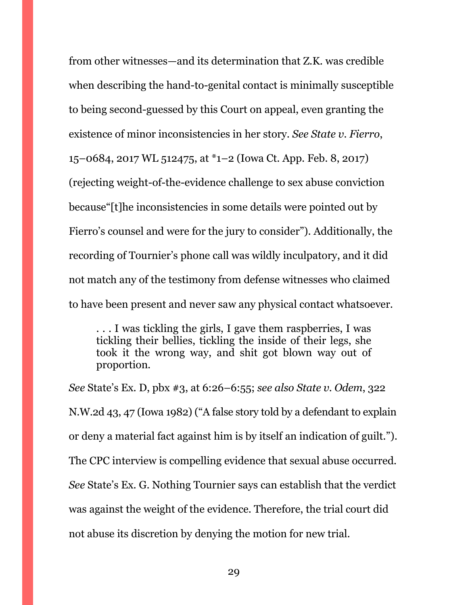from other witnesses—and its determination that Z.K. was credible when describing the hand-to-genital contact is minimally susceptible to being second-guessed by this Court on appeal, even granting the existence of minor inconsistencies in her story. *See State v. Fierro*, 15–0684, 2017 WL 512475, at \*1–2 (Iowa Ct. App. Feb. 8, 2017) (rejecting weight-of-the-evidence challenge to sex abuse conviction because"[t]he inconsistencies in some details were pointed out by Fierro's counsel and were for the jury to consider"). Additionally, the recording of Tournier's phone call was wildly inculpatory, and it did not match any of the testimony from defense witnesses who claimed to have been present and never saw any physical contact whatsoever.

. . . I was tickling the girls, I gave them raspberries, I was tickling their bellies, tickling the inside of their legs, she took it the wrong way, and shit got blown way out of proportion.

*See* State's Ex. D, pbx #3, at 6:26–6:55; *see also State v. Odem*, 322 N.W.2d 43, 47 (Iowa 1982) ("A false story told by a defendant to explain or deny a material fact against him is by itself an indication of guilt."). The CPC interview is compelling evidence that sexual abuse occurred. *See* State's Ex. G. Nothing Tournier says can establish that the verdict was against the weight of the evidence. Therefore, the trial court did not abuse its discretion by denying the motion for new trial.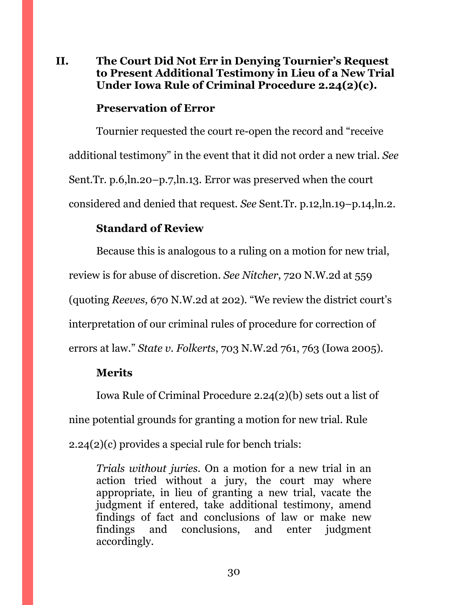## <span id="page-29-0"></span>**II. The Court Did Not Err in Denying Tournier's Request to Present Additional Testimony in Lieu of a New Trial Under Iowa Rule of Criminal Procedure 2.24(2)(c).**

## **Preservation of Error**

Tournier requested the court re-open the record and "receive additional testimony" in the event that it did not order a new trial. *See*  Sent.Tr. p.6,ln.20–p.7,ln.13. Error was preserved when the court considered and denied that request. *See* Sent.Tr. p.12,ln.19–p.14,ln.2.

## **Standard of Review**

Because this is analogous to a ruling on a motion for new trial, review is for abuse of discretion. *See Nitcher*, 720 N.W.2d at 559 (quoting *Reeves*, 670 N.W.2d at 202). "We review the district court's interpretation of our criminal rules of procedure for correction of errors at law." *State v. Folkerts*, 703 N.W.2d 761, 763 (Iowa 2005).

## **Merits**

Iowa Rule of Criminal Procedure 2.24(2)(b) sets out a list of nine potential grounds for granting a motion for new trial. Rule 2.24(2)(c) provides a special rule for bench trials:

*Trials without juries*. On a motion for a new trial in an action tried without a jury, the court may where appropriate, in lieu of granting a new trial, vacate the judgment if entered, take additional testimony, amend findings of fact and conclusions of law or make new findings and conclusions, and enter judgment accordingly.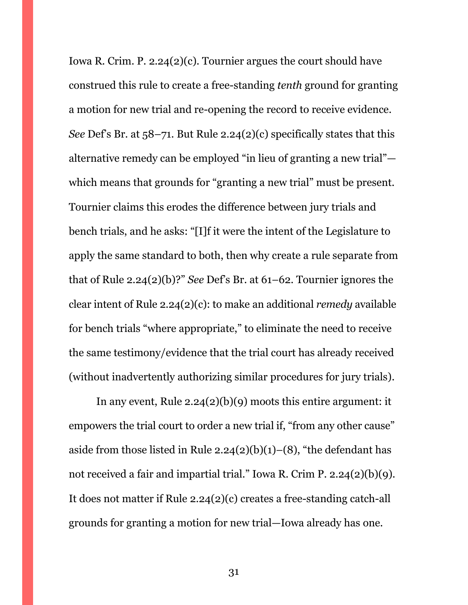Iowa R. Crim. P. 2.24(2)(c). Tournier argues the court should have construed this rule to create a free-standing *tenth* ground for granting a motion for new trial and re-opening the record to receive evidence. *See* Def's Br. at 58–71. But Rule 2.24(2)(c) specifically states that this alternative remedy can be employed "in lieu of granting a new trial" which means that grounds for "granting a new trial" must be present. Tournier claims this erodes the difference between jury trials and bench trials, and he asks: "[I]f it were the intent of the Legislature to apply the same standard to both, then why create a rule separate from that of Rule 2.24(2)(b)?" *See* Def's Br. at 61–62. Tournier ignores the clear intent of Rule 2.24(2)(c): to make an additional *remedy* available for bench trials "where appropriate," to eliminate the need to receive the same testimony/evidence that the trial court has already received (without inadvertently authorizing similar procedures for jury trials).

In any event, Rule 2.24(2)(b)(9) moots this entire argument: it empowers the trial court to order a new trial if, "from any other cause" aside from those listed in Rule  $2.24(2)(b)(1)–(8)$ , "the defendant has not received a fair and impartial trial." Iowa R. Crim P. 2.24(2)(b)(9). It does not matter if Rule 2.24(2)(c) creates a free-standing catch-all grounds for granting a motion for new trial—Iowa already has one.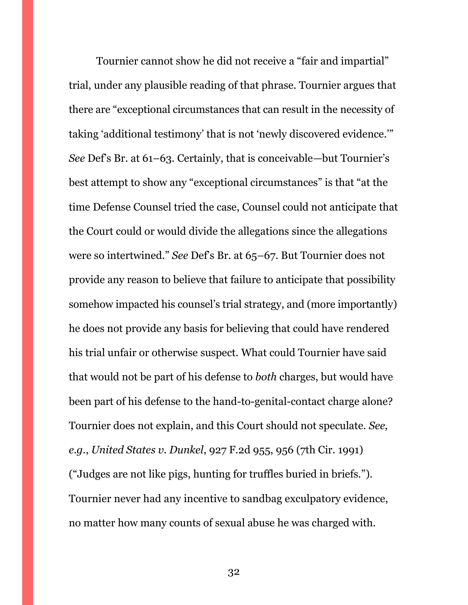Tournier cannot show he did not receive a "fair and impartial" trial, under any plausible reading of that phrase. Tournier argues that there are "exceptional circumstances that can result in the necessity of taking 'additional testimony' that is not 'newly discovered evidence.'" *See* Def's Br. at 61–63. Certainly, that is conceivable—but Tournier's best attempt to show any "exceptional circumstances" is that "at the time Defense Counsel tried the case, Counsel could not anticipate that the Court could or would divide the allegations since the allegations were so intertwined." *See* Def's Br. at 65–67. But Tournier does not provide any reason to believe that failure to anticipate that possibility somehow impacted his counsel's trial strategy, and (more importantly) he does not provide any basis for believing that could have rendered his trial unfair or otherwise suspect. What could Tournier have said that would not be part of his defense to *both* charges, but would have been part of his defense to the hand-to-genital-contact charge alone? Tournier does not explain, and this Court should not speculate. *See, e.g.*, *United States v. Dunkel*, 927 F.2d 955, 956 (7th Cir. 1991) ("Judges are not like pigs, hunting for truffles buried in briefs."). Tournier never had any incentive to sandbag exculpatory evidence, no matter how many counts of sexual abuse he was charged with.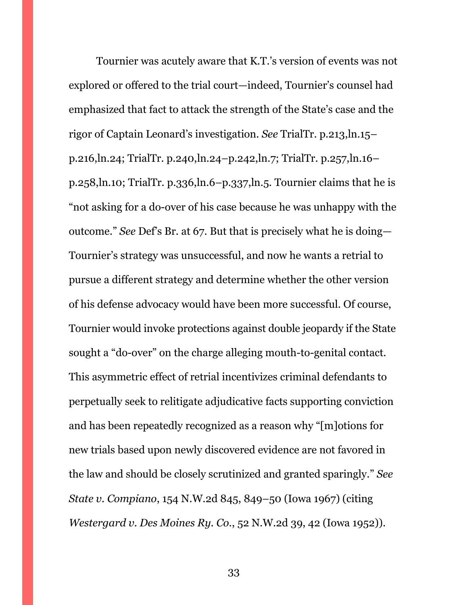Tournier was acutely aware that K.T.'s version of events was not explored or offered to the trial court—indeed, Tournier's counsel had emphasized that fact to attack the strength of the State's case and the rigor of Captain Leonard's investigation. *See* TrialTr. p.213,ln.15– p.216,ln.24; TrialTr. p.240,ln.24–p.242,ln.7; TrialTr. p.257,ln.16– p.258,ln.10; TrialTr. p.336,ln.6–p.337,ln.5. Tournier claims that he is "not asking for a do-over of his case because he was unhappy with the outcome." *See* Def's Br. at 67. But that is precisely what he is doing— Tournier's strategy was unsuccessful, and now he wants a retrial to pursue a different strategy and determine whether the other version of his defense advocacy would have been more successful. Of course, Tournier would invoke protections against double jeopardy if the State sought a "do-over" on the charge alleging mouth-to-genital contact. This asymmetric effect of retrial incentivizes criminal defendants to perpetually seek to relitigate adjudicative facts supporting conviction and has been repeatedly recognized as a reason why "[m]otions for new trials based upon newly discovered evidence are not favored in the law and should be closely scrutinized and granted sparingly." *See State v. Compiano*, 154 N.W.2d 845, 849–50 (Iowa 1967) (citing *Westergard v. Des Moines Ry. Co.*, 52 N.W.2d 39, 42 (Iowa 1952)).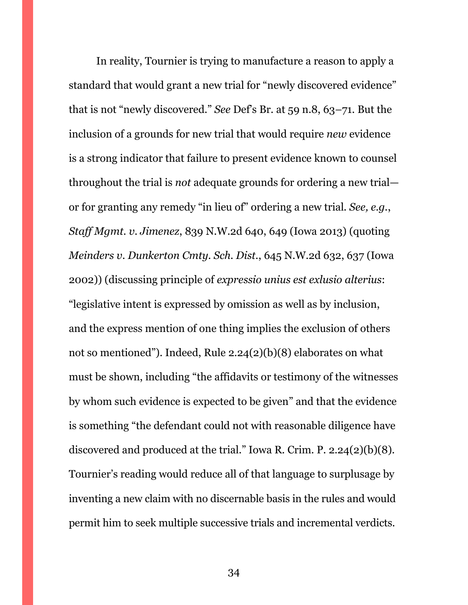In reality, Tournier is trying to manufacture a reason to apply a standard that would grant a new trial for "newly discovered evidence" that is not "newly discovered." *See* Def's Br. at 59 n.8, 63–71. But the inclusion of a grounds for new trial that would require *new* evidence is a strong indicator that failure to present evidence known to counsel throughout the trial is *not* adequate grounds for ordering a new trial or for granting any remedy "in lieu of" ordering a new trial. *See, e.g.*, *Staff Mgmt. v. Jimenez*, 839 N.W.2d 640, 649 (Iowa 2013) (quoting *Meinders v. Dunkerton Cmty. Sch. Dist.*, 645 N.W.2d 632, 637 (Iowa 2002)) (discussing principle of *expressio unius est exlusio alterius*: "legislative intent is expressed by omission as well as by inclusion, and the express mention of one thing implies the exclusion of others not so mentioned"). Indeed, Rule 2.24(2)(b)(8) elaborates on what must be shown, including "the affidavits or testimony of the witnesses by whom such evidence is expected to be given" and that the evidence is something "the defendant could not with reasonable diligence have discovered and produced at the trial." Iowa R. Crim. P. 2.24(2)(b)(8). Tournier's reading would reduce all of that language to surplusage by inventing a new claim with no discernable basis in the rules and would permit him to seek multiple successive trials and incremental verdicts.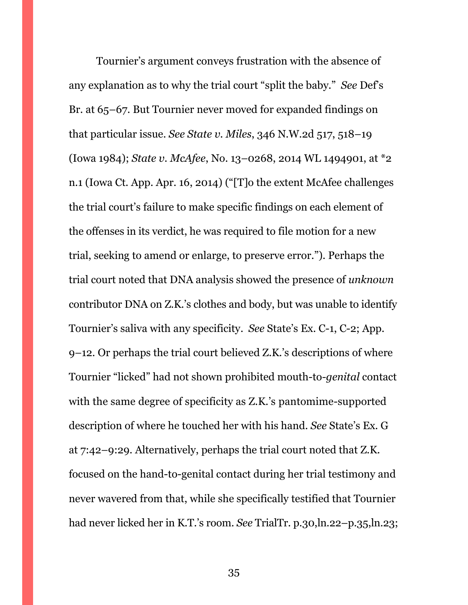Tournier's argument conveys frustration with the absence of any explanation as to why the trial court "split the baby." *See* Def's Br. at 65–67. But Tournier never moved for expanded findings on that particular issue. *See State v. Miles*, 346 N.W.2d 517, 518–19 (Iowa 1984); *State v. McAfee*, No. 13–0268, 2014 WL 1494901, at \*2 n.1 (Iowa Ct. App. Apr. 16, 2014) ("[T]o the extent McAfee challenges the trial court's failure to make specific findings on each element of the offenses in its verdict, he was required to file motion for a new trial, seeking to amend or enlarge, to preserve error."). Perhaps the trial court noted that DNA analysis showed the presence of *unknown* contributor DNA on Z.K.'s clothes and body, but was unable to identify Tournier's saliva with any specificity. *See* State's Ex. C-1, C-2; App. 9–12. Or perhaps the trial court believed Z.K.'s descriptions of where Tournier "licked" had not shown prohibited mouth-to*-genital* contact with the same degree of specificity as Z.K.'s pantomime-supported description of where he touched her with his hand. *See* State's Ex. G at 7:42–9:29. Alternatively, perhaps the trial court noted that Z.K. focused on the hand-to-genital contact during her trial testimony and never wavered from that, while she specifically testified that Tournier had never licked her in K.T.'s room. *See* TrialTr. p.30,ln.22–p.35,ln.23;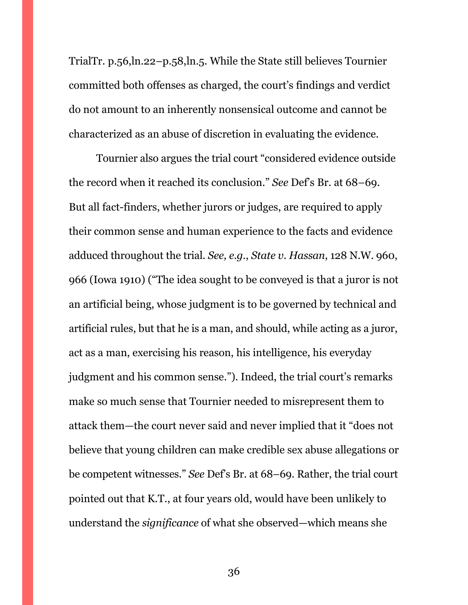TrialTr. p.56,ln.22–p.58,ln.5. While the State still believes Tournier committed both offenses as charged, the court's findings and verdict do not amount to an inherently nonsensical outcome and cannot be characterized as an abuse of discretion in evaluating the evidence.

Tournier also argues the trial court "considered evidence outside the record when it reached its conclusion." *See* Def's Br. at 68–69. But all fact-finders, whether jurors or judges, are required to apply their common sense and human experience to the facts and evidence adduced throughout the trial. *See, e.g.*, *State v. Hassan*, 128 N.W. 960, 966 (Iowa 1910) ("The idea sought to be conveyed is that a juror is not an artificial being, whose judgment is to be governed by technical and artificial rules, but that he is a man, and should, while acting as a juror, act as a man, exercising his reason, his intelligence, his everyday judgment and his common sense."). Indeed, the trial court's remarks make so much sense that Tournier needed to misrepresent them to attack them—the court never said and never implied that it "does not believe that young children can make credible sex abuse allegations or be competent witnesses." *See* Def's Br. at 68–69. Rather, the trial court pointed out that K.T., at four years old, would have been unlikely to understand the *significance* of what she observed—which means she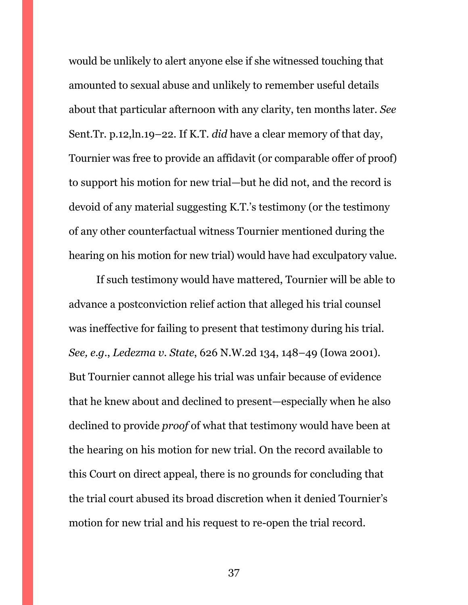would be unlikely to alert anyone else if she witnessed touching that amounted to sexual abuse and unlikely to remember useful details about that particular afternoon with any clarity, ten months later. *See*  Sent.Tr. p.12,ln.19–22. If K.T. *did* have a clear memory of that day, Tournier was free to provide an affidavit (or comparable offer of proof) to support his motion for new trial—but he did not, and the record is devoid of any material suggesting K.T.'s testimony (or the testimony of any other counterfactual witness Tournier mentioned during the hearing on his motion for new trial) would have had exculpatory value.

If such testimony would have mattered, Tournier will be able to advance a postconviction relief action that alleged his trial counsel was ineffective for failing to present that testimony during his trial. *See, e.g.*, *Ledezma v. State*, 626 N.W.2d 134, 148–49 (Iowa 2001). But Tournier cannot allege his trial was unfair because of evidence that he knew about and declined to present—especially when he also declined to provide *proof* of what that testimony would have been at the hearing on his motion for new trial. On the record available to this Court on direct appeal, there is no grounds for concluding that the trial court abused its broad discretion when it denied Tournier's motion for new trial and his request to re-open the trial record.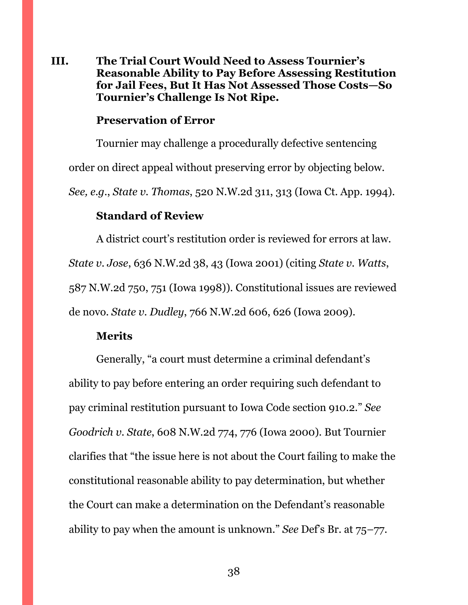## <span id="page-37-0"></span>**III. The Trial Court Would Need to Assess Tournier's Reasonable Ability to Pay Before Assessing Restitution for Jail Fees, But It Has Not Assessed Those Costs—So Tournier's Challenge Is Not Ripe.**

#### **Preservation of Error**

Tournier may challenge a procedurally defective sentencing order on direct appeal without preserving error by objecting below. *See, e.g.*, *State v. Thomas*, 520 N.W.2d 311, 313 (Iowa Ct. App. 1994).

### **Standard of Review**

A district court's restitution order is reviewed for errors at law. *State v. Jose*, 636 N.W.2d 38, 43 (Iowa 2001) (citing *State v. Watts*, 587 N.W.2d 750, 751 (Iowa 1998)). Constitutional issues are reviewed de novo. *State v. Dudley*, 766 N.W.2d 606, 626 (Iowa 2009).

#### **Merits**

Generally, "a court must determine a criminal defendant's ability to pay before entering an order requiring such defendant to pay criminal restitution pursuant to Iowa Code section 910.2." *See Goodrich v. State*, 608 N.W.2d 774, 776 (Iowa 2000). But Tournier clarifies that "the issue here is not about the Court failing to make the constitutional reasonable ability to pay determination, but whether the Court can make a determination on the Defendant's reasonable ability to pay when the amount is unknown." *See* Def's Br. at 75–77.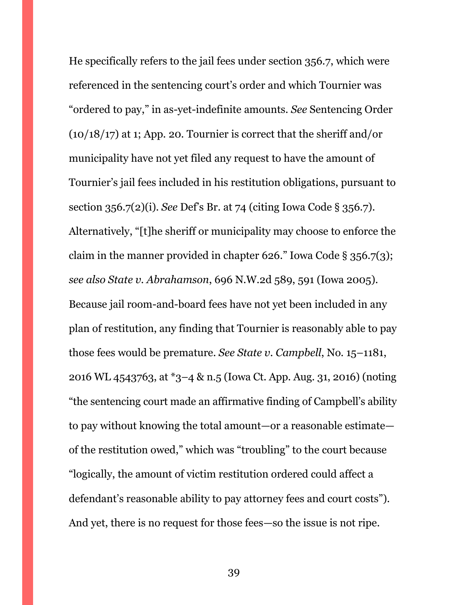He specifically refers to the jail fees under section 356.7, which were referenced in the sentencing court's order and which Tournier was "ordered to pay," in as-yet-indefinite amounts. *See* Sentencing Order  $(10/18/17)$  at 1; App. 20. Tournier is correct that the sheriff and/or municipality have not yet filed any request to have the amount of Tournier's jail fees included in his restitution obligations, pursuant to section 356.7(2)(i). *See* Def's Br. at 74 (citing Iowa Code § 356.7). Alternatively, "[t]he sheriff or municipality may choose to enforce the claim in the manner provided in chapter 626." Iowa Code § 356.7(3); *see also State v. Abrahamson*, 696 N.W.2d 589, 591 (Iowa 2005). Because jail room-and-board fees have not yet been included in any plan of restitution, any finding that Tournier is reasonably able to pay those fees would be premature. *See State v. Campbell*, No. 15–1181, 2016 WL 4543763, at \*3–4 & n.5 (Iowa Ct. App. Aug. 31, 2016) (noting "the sentencing court made an affirmative finding of Campbell's ability to pay without knowing the total amount—or a reasonable estimate of the restitution owed," which was "troubling" to the court because "logically, the amount of victim restitution ordered could affect a defendant's reasonable ability to pay attorney fees and court costs"). And yet, there is no request for those fees—so the issue is not ripe.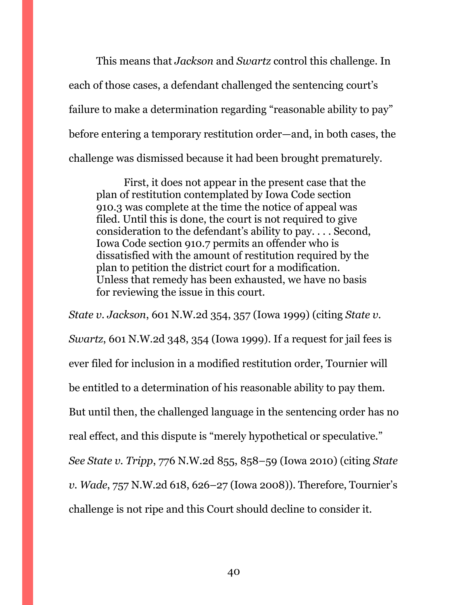This means that *Jackson* and *Swartz* control this challenge. In each of those cases, a defendant challenged the sentencing court's failure to make a determination regarding "reasonable ability to pay" before entering a temporary restitution order—and, in both cases, the challenge was dismissed because it had been brought prematurely.

First, it does not appear in the present case that the plan of restitution contemplated by Iowa Code section 910.3 was complete at the time the notice of appeal was filed. Until this is done, the court is not required to give consideration to the defendant's ability to pay. . . . Second, Iowa Code section 910.7 permits an offender who is dissatisfied with the amount of restitution required by the plan to petition the district court for a modification. Unless that remedy has been exhausted, we have no basis for reviewing the issue in this court.

*State v. Jackson*, 601 N.W.2d 354, 357 (Iowa 1999) (citing *State v. Swartz*, 601 N.W.2d 348, 354 (Iowa 1999). If a request for jail fees is ever filed for inclusion in a modified restitution order, Tournier will be entitled to a determination of his reasonable ability to pay them. But until then, the challenged language in the sentencing order has no real effect, and this dispute is "merely hypothetical or speculative." *See State v. Tripp*, 776 N.W.2d 855, 858–59 (Iowa 2010) (citing *State v. Wade*, 757 N.W.2d 618, 626–27 (Iowa 2008)). Therefore, Tournier's challenge is not ripe and this Court should decline to consider it.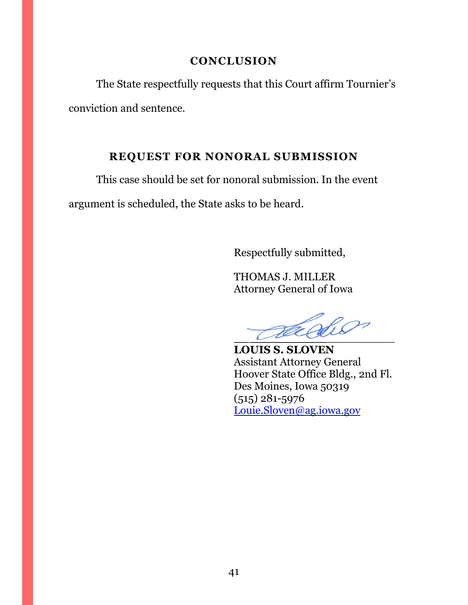## **CONCLUSION**

<span id="page-40-0"></span>The State respectfully requests that this Court affirm Tournier's conviction and sentence.

## **REQUEST FOR NONORAL SUBMISSION**

<span id="page-40-1"></span>This case should be set for nonoral submission. In the event

argument is scheduled, the State asks to be heard.

Respectfully submitted,

THOMAS J. MILLER Attorney General of Iowa

\_\_ \_\_\_\_\_\_\_\_\_\_\_\_\_\_\_\_\_\_\_\_\_

**LOUIS S. SLOVEN** Assistant Attorney General Hoover State Office Bldg., 2nd Fl. Des Moines, Iowa 50319 (515) 281-5976 [Louie.Sloven@ag.iowa.gov](mailto:Louie.Sloven@ag.iowa.gov)